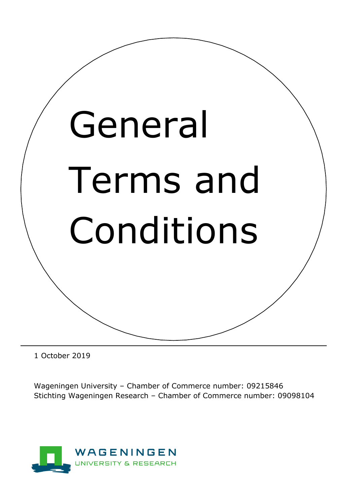

1 October 2019

Wageningen University – Chamber of Commerce number: 09215846 Stichting Wageningen Research – Chamber of Commerce number: 09098104

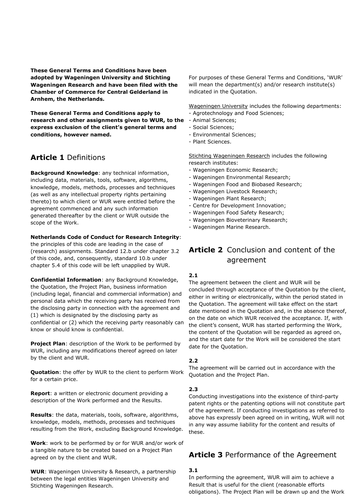**These General Terms and Conditions have been adopted by Wageningen University and Stichting Wageningen Research and have been filed with the Chamber of Commerce for Central Gelderland in Arnhem, the Netherlands.**

**These General Terms and Conditions apply to research and other assignments given to WUR, to the express exclusion of the client's general terms and conditions, however named.**

# **Article 1** Definitions

**Background Knowledge**: any technical information, including data, materials, tools, software, algorithms, knowledge, models, methods, processes and techniques (as well as any intellectual property rights pertaining thereto) to which client or WUR were entitled before the agreement commenced and any such information generated thereafter by the client or WUR outside the scope of the Work.

**Netherlands Code of Conduct for Research Integrity**:

the principles of this code are leading in the case of (research) assignments. Standard 12.b under chapter 3.2 of this code, and, consequently, standard 10.b under chapter 5.4 of this code will be left unapplied by WUR.

**Confidential Information**: any Background Knowledge, the Quotation, the Project Plan, business information (including legal, financial and commercial information) and personal data which the receiving party has received from the disclosing party in connection with the agreement and (1) which is designated by the disclosing party as confidential or (2) which the receiving party reasonably can know or should know is confidential.

**Project Plan**: description of the Work to be performed by WUR, including any modifications thereof agreed on later by the client and WUR.

**Quotation**: the offer by WUR to the client to perform Work for a certain price.

**Report**: a written or electronic document providing a description of the Work performed and the Results.

**Results**: the data, materials, tools, software, algorithms, knowledge, models, methods, processes and techniques resulting from the Work, excluding Background Knowledge.

**Work**: work to be performed by or for WUR and/or work of a tangible nature to be created based on a Project Plan agreed on by the client and WUR.

**WUR**: Wageningen University & Research, a partnership between the legal entities Wageningen University and Stichting Wageningen Research.

For purposes of these General Terms and Conditions, 'WUR' will mean the department(s) and/or research institute(s) indicated in the Quotation.

Wageningen University includes the following departments:

- Agrotechnology and Food Sciences;
- Animal Sciences;
- Social Sciences;
- Environmental Sciences;
- Plant Sciences.

Stichting Wageningen Research includes the following research institutes:

- Wageningen Economic Research;
- Wageningen Environmental Research;
- Wageningen Food and Biobased Research;
- Wageningen Livestock Research;
- Wageningen Plant Research;
- Centre for Development Innovation;
- Wageningen Food Safety Research;
- Wageningen Bioveterinary Research;
- Wageningen Marine Research.

# **Article 2** Conclusion and content of the agreement

#### **2.1**

The agreement between the client and WUR will be concluded through acceptance of the Quotation by the client, either in writing or electronically, within the period stated in the Quotation. The agreement will take effect on the start date mentioned in the Quotation and, in the absence thereof, on the date on which WUR received the acceptance. If, with the client's consent, WUR has started performing the Work, the content of the Quotation will be regarded as agreed on, and the start date for the Work will be considered the start date for the Quotation.

#### **2.2**

The agreement will be carried out in accordance with the Quotation and the Project Plan.

#### **2.3**

Conducting investigations into the existence of third-party patent rights or the patenting options will not constitute part of the agreement. If conducting investigations as referred to above has expressly been agreed on in writing, WUR will not in any way assume liability for the content and results of these.

## **Article 3** Performance of the Agreement

#### **3.1**

In performing the agreement, WUR will aim to achieve a Result that is useful for the client (reasonable efforts obligations). The Project Plan will be drawn up and the Work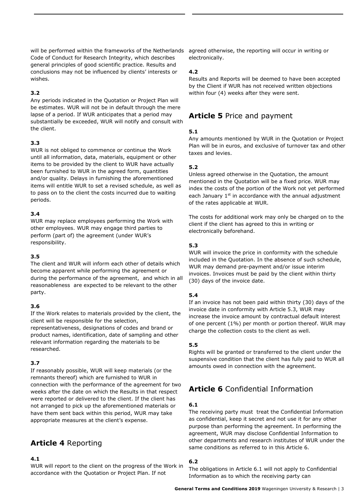will be performed within the frameworks of the Netherlands Code of Conduct for Research Integrity, which describes general principles of good scientific practice. Results and conclusions may not be influenced by clients' interests or wishes.

## **3.2**

Any periods indicated in the Quotation or Project Plan will be estimates. WUR will not be in default through the mere lapse of a period. If WUR anticipates that a period may substantially be exceeded, WUR will notify and consult with the client.

## **3.3**

WUR is not obliged to commence or continue the Work until all information, data, materials, equipment or other items to be provided by the client to WUR have actually been furnished to WUR in the agreed form, quantities and/or quality. Delays in furnishing the aforementioned items will entitle WUR to set a revised schedule, as well as to pass on to the client the costs incurred due to waiting periods.

## **3.4**

WUR may replace employees performing the Work with other employees. WUR may engage third parties to perform (part of) the agreement (under WUR's responsibility.

#### **3.5**

The client and WUR will inform each other of details which become apparent while performing the agreement or during the performance of the agreement, and which in all reasonableness are expected to be relevant to the other party.

## **3.6**

If the Work relates to materials provided by the client, the client will be responsible for the selection, representativeness, designations of codes and brand or product names, identification, date of sampling and other relevant information regarding the materials to be researched.

## **3.7**

If reasonably possible, WUR will keep materials (or the remnants thereof) which are furnished to WUR in connection with the performance of the agreement for two weeks after the date on which the Results in that respect were reported or delivered to the client. If the client has not arranged to pick up the aforementioned materials or have them sent back within this period, WUR may take appropriate measures at the client's expense.

## **Article 4** Reporting

#### **4.1**

WUR will report to the client on the progress of the Work in accordance with the Quotation or Project Plan. If not

agreed otherwise, the reporting will occur in writing or electronically.

#### **4.2**

Results and Reports will be deemed to have been accepted by the Client if WUR has not received written objections within four (4) weeks after they were sent.

# **Article 5** Price and payment

## **5.1**

Any amounts mentioned by WUR in the Quotation or Project Plan will be in euros, and exclusive of turnover tax and other taxes and levies.

## **5.2**

Unless agreed otherwise in the Quotation, the amount mentioned in the Quotation will be a fixed price. WUR may index the costs of the portion of the Work not yet performed each January 1<sup>st</sup> in accordance with the annual adjustment of the rates applicable at WUR.

The costs for additional work may only be charged on to the client if the client has agreed to this in writing or electronically beforehand.

## **5.3**

WUR will invoice the price in conformity with the schedule included in the Quotation. In the absence of such schedule, WUR may demand pre-payment and/or issue interim invoices. Invoices must be paid by the client within thirty (30) days of the invoice date.

## **5.4**

If an invoice has not been paid within thirty (30) days of the invoice date in conformity with Article 5.3, WUR may increase the invoice amount by contractual default interest of one percent (1%) per month or portion thereof. WUR may charge the collection costs to the client as well.

## **5.5**

Rights will be granted or transferred to the client under the suspensive condition that the client has fully paid to WUR all amounts owed in connection with the agreement.

# **Article 6** Confidential Information

#### **6.1**

The receiving party must treat the Confidential Information as confidential, keep it secret and not use it for any other purpose than performing the agreement. In performing the agreement, WUR may disclose Confidential Information to other departments and research institutes of WUR under the same conditions as referred to in this Article 6.

## **6.2**

The obligations in Article 6.1 will not apply to Confidential Information as to which the receiving party can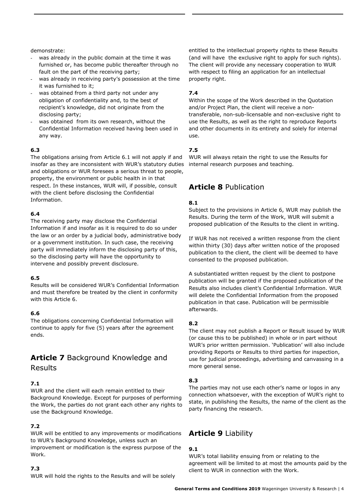#### demonstrate:

- was already in the public domain at the time it was furnished or, has become public thereafter through no fault on the part of the receiving party;
- was already in receiving party's possession at the time it was furnished to it;
- was obtained from a third party not under any obligation of confidentiality and, to the best of recipient's knowledge, did not originate from the disclosing party;
- was obtained from its own research, without the Confidential Information received having been used in any way.

#### **6.3**

The obligations arising from Article 6.1 will not apply if and insofar as they are inconsistent with WUR's statutory duties and obligations or WUR foresees a serious threat to people, property, the environment or public health in in that respect. In these instances, WUR will, if possible, consult with the client before disclosing the Confidential Information.

#### **6.4**

The receiving party may disclose the Confidential Information if and insofar as it is required to do so under the law or an order by a judicial body, administrative body or a government institution. In such case, the receiving party will immediately inform the disclosing party of this, so the disclosing party will have the opportunity to intervene and possibly prevent disclosure.

#### **6.5**

Results will be considered WUR's Confidential Information and must therefore be treated by the client in conformity with this Article 6.

#### **6.6**

The obligations concerning Confidential Information will continue to apply for five (5) years after the agreement ends.

# **Article 7** Background Knowledge and

## Results

## **7.1**

WUR and the client will each remain entitled to their Background Knowledge. Except for purposes of performing the Work, the parties do not grant each other any rights to use the Background Knowledge.

## **7.2**

WUR will be entitled to any improvements or modifications to WUR's Background Knowledge, unless such an improvement or modification is the express purpose of the Work.

#### **7.3**

WUR will hold the rights to the Results and will be solely

entitled to the intellectual property rights to these Results (and will have the exclusive right to apply for such rights). The client will provide any necessary cooperation to WUR with respect to filing an application for an intellectual property right.

#### **7.4**

Within the scope of the Work described in the Quotation and/or Project Plan, the client will receive a nontransferable, non-sub-licensable and non-exclusive right to use the Results, as well as the right to reproduce Reports and other documents in its entirety and solely for internal use.

## **7.5**

WUR will always retain the right to use the Results for internal research purposes and teaching.

## **Article 8** Publication

## **8.1**

Subject to the provisions in Article 6, WUR may publish the Results. During the term of the Work, WUR will submit a proposed publication of the Results to the client in writing.

If WUR has not received a written response from the client within thirty (30) days after written notice of the proposed publication to the client, the client will be deemed to have consented to the proposed publication.

A substantiated written request by the client to postpone publication will be granted if the proposed publication of the Results also includes client's Confidential Information. WUR will delete the Confidential Information from the proposed publication in that case. Publication will be permissible afterwards.

## **8.2**

The client may not publish a Report or Result issued by WUR (or cause this to be published) in whole or in part without WUR's prior written permission. 'Publication' will also include providing Reports or Results to third parties for inspection, use for judicial proceedings, advertising and canvassing in a more general sense.

#### **8.3**

The parties may not use each other's name or logos in any connection whatsoever, with the exception of WUR's right to state, in publishing the Results, the name of the client as the party financing the research.

## **Article 9** Liability

## **9.1**

WUR's total liability ensuing from or relating to the agreement will be limited to at most the amounts paid by the client to WUR in connection with the Work.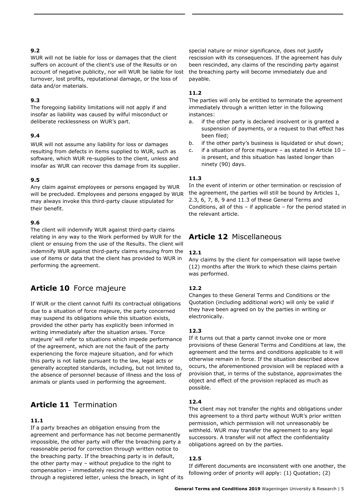### **9.2**

WUR will not be liable for loss or damages that the client suffers on account of the client's use of the Results or on account of negative publicity, nor will WUR be liable for lost turnover, lost profits, reputational damage, or the loss of data and/or materials.

#### **9.3**

The foregoing liability limitations will not apply if and insofar as liability was caused by wilful misconduct or deliberate recklessness on WUR's part.

#### **9.4**

WUR will not assume any liability for loss or damages resulting from defects in items supplied to WUR, such as software, which WUR re-supplies to the client, unless and insofar as WUR can recover this damage from its supplier.

#### **9.5**

Any claim against employees or persons engaged by WUR will be precluded. Employees and persons engaged by WUR may always invoke this third-party clause stipulated for their benefit.

#### **9.6**

The client will indemnify WUR against third-party claims relating in any way to the Work performed by WUR for the client or ensuing from the use of the Results. The client will indemnify WUR against third-party claims ensuing from the use of items or data that the client has provided to WUR in performing the agreement.

## **Article 10** Force majeure

If WUR or the client cannot fulfil its contractual obligations due to a situation of force majeure, the party concerned may suspend its obligations while this situation exists, provided the other party has explicitly been informed in writing immediately after the situation arises. 'Force majeure' will refer to situations which impede performance of the agreement, which are not the fault of the party experiencing the force majeure situation, and for which this party is not liable pursuant to the law, legal acts or generally accepted standards, including, but not limited to, the absence of personnel because of illness and the loss of animals or plants used in performing the agreement.

## **Article 11** Termination

## **11.1**

If a party breaches an obligation ensuing from the agreement and performance has not become permanently impossible, the other party will offer the breaching party a reasonable period for correction through written notice to the breaching party. If the breaching party is in default, the other party may – without prejudice to the right to compensation – immediately rescind the agreement through a registered letter, unless the breach, in light of its

special nature or minor significance, does not justify rescission with its consequences. If the agreement has duly been rescinded, any claims of the rescinding party against the breaching party will become immediately due and payable.

## **11.2**

The parties will only be entitled to terminate the agreement immediately through a written letter in the following instances:

- a. if the other party is declared insolvent or is granted a suspension of payments, or a request to that effect has been filed;
- b. if the other party's business is liquidated or shut down;
- c. if a situation of force majeure as stated in Article 10 is present, and this situation has lasted longer than ninety (90) days.

## **11.3**

In the event of interim or other termination or rescission of the agreement, the parties will still be bound by Articles 1, 2.3, 6, 7, 8, 9 and 11.3 of these General Terms and Conditions, all of this – if applicable – for the period stated in the relevant article.

## **Article 12** Miscellaneous

## **12.1**

Any claims by the client for compensation will lapse twelve (12) months after the Work to which these claims pertain was performed.

## **12.2**

Changes to these General Terms and Conditions or the Quotation (including additional work) will only be valid if they have been agreed on by the parties in writing or electronically.

## **12.3**

If it turns out that a party cannot invoke one or more provisions of these General Terms and Conditions at law, the agreement and the terms and conditions applicable to it will otherwise remain in force. If the situation described above occurs, the aforementioned provision will be replaced with a provision that, in terms of the substance, approximates the object and effect of the provision replaced as much as possible.

#### **12.4**

The client may not transfer the rights and obligations under this agreement to a third party without WUR's prior written permission, which permission will not unreasonably be withheld. WUR may transfer the agreement to any legal successors. A transfer will not affect the confidentiality obligations agreed on by the parties.

#### **12.5**

If different documents are inconsistent with one another, the following order of priority will apply: (1) Quotation; (2)